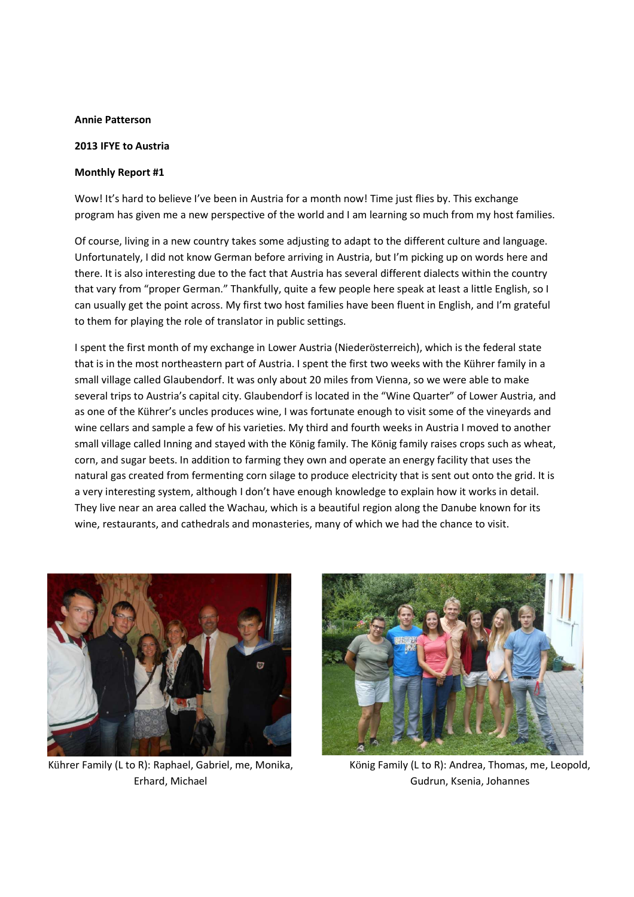## **Annie Patterson**

## **2013 IFYE to Austria**

## **Monthly Report #1**

Wow! It's hard to believe I've been in Austria for a month now! Time just flies by. This exchange program has given me a new perspective of the world and I am learning so much from my host families.

Of course, living in a new country takes some adjusting to adapt to the different culture and language. Unfortunately, I did not know German before arriving in Austria, but I'm picking up on words here and there. It is also interesting due to the fact that Austria has several different dialects within the country that vary from "proper German." Thankfully, quite a few people here speak at least a little English, so I can usually get the point across. My first two host families have been fluent in English, and I'm grateful to them for playing the role of translator in public settings.

I spent the first month of my exchange in Lower Austria (Niederösterreich), which is the federal state that is in the most northeastern part of Austria. I spent the first two weeks with the Kührer family in a small village called Glaubendorf. It was only about 20 miles from Vienna, so we were able to make several trips to Austria's capital city. Glaubendorf is located in the "Wine Quarter" of Lower Austria, and as one of the Kührer's uncles produces wine, I was fortunate enough to visit some of the vineyards and wine cellars and sample a few of his varieties. My third and fourth weeks in Austria I moved to another small village called Inning and stayed with the König family. The König family raises crops such as wheat, corn, and sugar beets. In addition to farming they own and operate an energy facility that uses the natural gas created from fermenting corn silage to produce electricity that is sent out onto the grid. It is a very interesting system, although I don't have enough knowledge to explain how it works in detail. They live near an area called the Wachau, which is a beautiful region along the Danube known for its wine, restaurants, and cathedrals and monasteries, many of which we had the chance to visit.



Kührer Family (L to R): Raphael, Gabriel, me, Monika, Erhard, Michael



König Family (L to R): Andrea, Thomas, me, Leopold, Gudrun, Ksenia, Johannes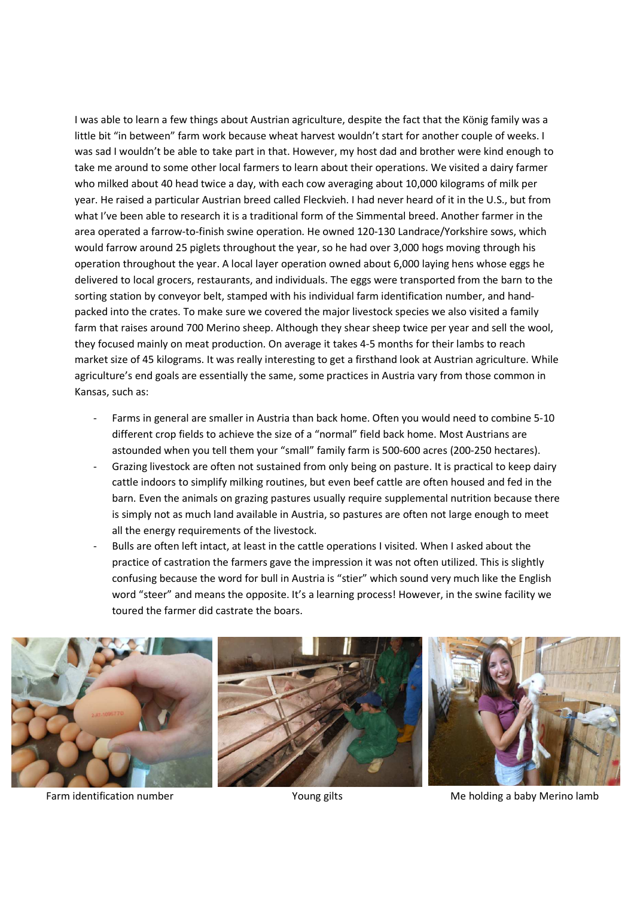I was able to learn a few things about Austrian agriculture, despite the fact that the König family was a little bit "in between" farm work because wheat harvest wouldn't start for another couple of weeks. I was sad I wouldn't be able to take part in that. However, my host dad and brother were kind enough to take me around to some other local farmers to learn about their operations. We visited a dairy farmer who milked about 40 head twice a day, with each cow averaging about 10,000 kilograms of milk per year. He raised a particular Austrian breed called Fleckvieh. I had never heard of it in the U.S., but from what I've been able to research it is a traditional form of the Simmental breed. Another farmer in the area operated a farrow-to-finish swine operation. He owned 120-130 Landrace/Yorkshire sows, which would farrow around 25 piglets throughout the year, so he had over 3,000 hogs moving through his operation throughout the year. A local layer operation owned about 6,000 laying hens whose eggs he delivered to local grocers, restaurants, and individuals. The eggs were transported from the barn to the sorting station by conveyor belt, stamped with his individual farm identification number, and handpacked into the crates. To make sure we covered the major livestock species we also visited a family farm that raises around 700 Merino sheep. Although they shear sheep twice per year and sell the wool, they focused mainly on meat production. On average it takes 4-5 months for their lambs to reach market size of 45 kilograms. It was really interesting to get a firsthand look at Austrian agriculture. While agriculture's end goals are essentially the same, some practices in Austria vary from those common in Kansas, such as:

- Farms in general are smaller in Austria than back home. Often you would need to combine 5-10 different crop fields to achieve the size of a "normal" field back home. Most Austrians are astounded when you tell them your "small" family farm is 500-600 acres (200-250 hectares).
- Grazing livestock are often not sustained from only being on pasture. It is practical to keep dairy cattle indoors to simplify milking routines, but even beef cattle are often housed and fed in the barn. Even the animals on grazing pastures usually require supplemental nutrition because there is simply not as much land available in Austria, so pastures are often not large enough to meet all the energy requirements of the livestock.
- Bulls are often left intact, at least in the cattle operations I visited. When I asked about the practice of castration the farmers gave the impression it was not often utilized. This is slightly confusing because the word for bull in Austria is "stier" which sound very much like the English word "steer" and means the opposite. It's a learning process! However, in the swine facility we toured the farmer did castrate the boars.



Farm identification number Young gilts Me holding a baby Merino lamb